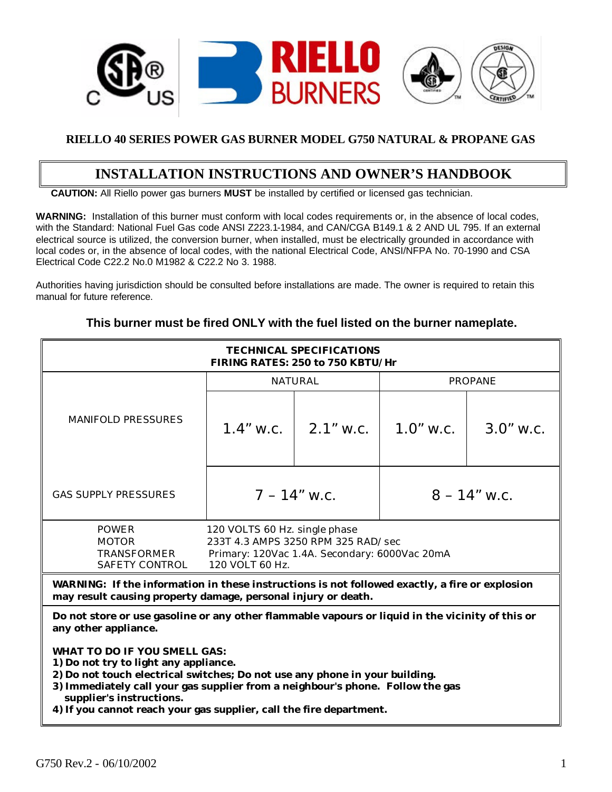

### **RIELLO 40 SERIES POWER GAS BURNER MODEL G750 NATURAL & PROPANE GAS**

## **INSTALLATION INSTRUCTIONS AND OWNER'S HANDBOOK**

 **CAUTION:** All Riello power gas burners **MUST** be installed by certified or licensed gas technician.

**WARNING:** Installation of this burner must conform with local codes requirements or, in the absence of local codes, with the Standard: National Fuel Gas code ANSI Z223.1-1984, and CAN/CGA B149.1 & 2 AND UL 795. If an external electrical source is utilized, the conversion burner, when installed, must be electrically grounded in accordance with local codes or, in the absence of local codes, with the national Electrical Code, ANSI/NFPA No. 70-1990 and CSA Electrical Code C22.2 No.0 M1982 & C22.2 No 3. 1988.

Authorities having jurisdiction should be consulted before installations are made. The owner is required to retain this manual for future reference.

| <b>TECHNICAL SPECIFICATIONS</b><br>FIRING RATES: 250 to 750 KBTU/Hr                                                                                                                                                    |                |                                                                 |                |                |
|------------------------------------------------------------------------------------------------------------------------------------------------------------------------------------------------------------------------|----------------|-----------------------------------------------------------------|----------------|----------------|
|                                                                                                                                                                                                                        |                | <b>NATURAL</b>                                                  |                | <b>PROPANE</b> |
| <b>MANIFOLD PRESSURES</b>                                                                                                                                                                                              |                | 1.4" w.c. $\vert$ 2.1" w.c. $\vert$ 1.0" w.c. $\vert$ 3.0" w.c. |                |                |
| <b>GAS SUPPLY PRESSURES</b>                                                                                                                                                                                            | $7 - 14"$ w.c. |                                                                 | $8 - 14"$ w.c. |                |
| <b>POWER</b><br>120 VOLTS 60 Hz. single phase<br>233T 4.3 AMPS 3250 RPM 325 RAD/sec<br><b>MOTOR</b><br><b>TRANSFORMER</b><br>Primary: 120Vac 1.4A. Secondary: 6000Vac 20mA<br>120 VOLT 60 Hz.<br><b>SAFETY CONTROL</b> |                |                                                                 |                |                |
| WARNING: If the information in these instructions is not followed exactly, a fire or explosion<br>may result causing property damage, personal injury or death.                                                        |                |                                                                 |                |                |
| Do not store or use gasoline or any other flammable vapours or liquid in the vicinity of this or<br>any other appliance.                                                                                               |                |                                                                 |                |                |

### **This burner must be fired ONLY with the fuel listed on the burner nameplate.**

**WHAT TO DO IF YOU SMELL GAS:**

- **1) Do not try to light any appliance.**
- **2) Do not touch electrical switches; Do not use any phone in your building.**
- **3) Immediately call your gas supplier from a neighbour's phone. Follow the gas supplier's instructions.**
- **4) If you cannot reach your gas supplier, call the fire department.**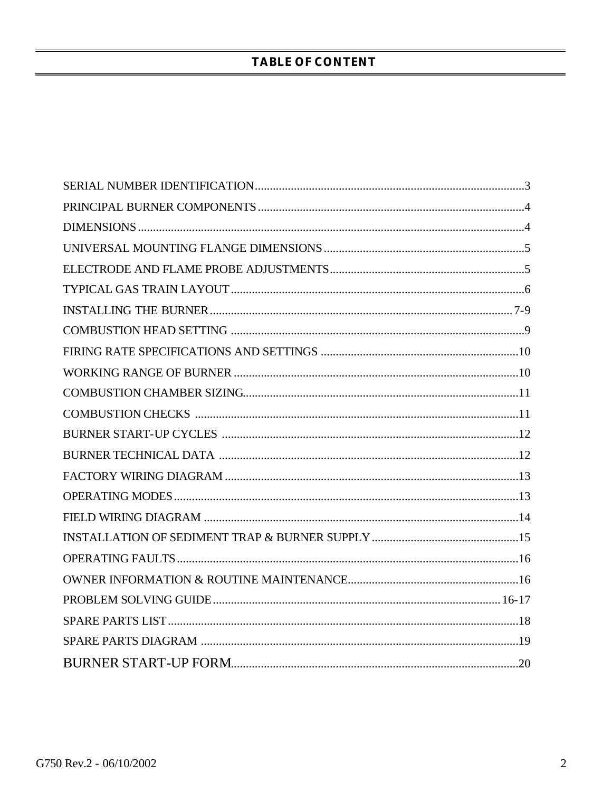### **TABLE OF CONTENT**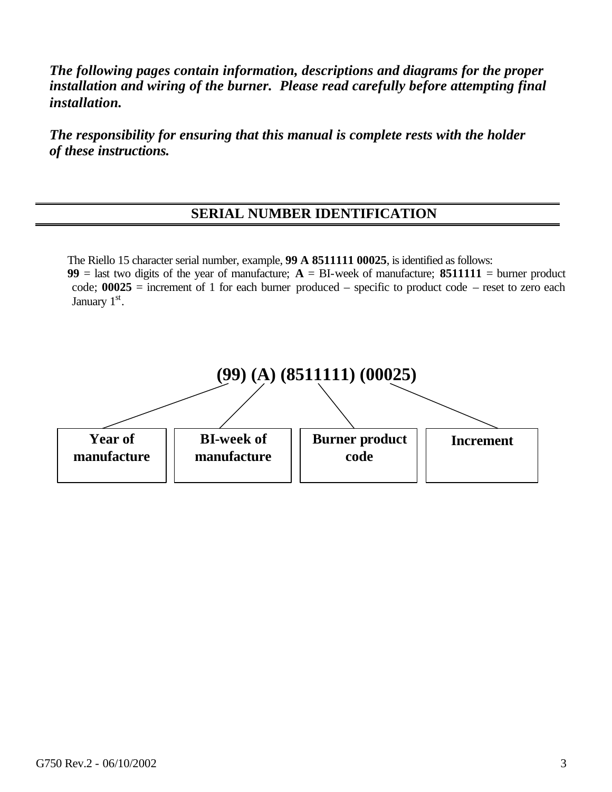*The following pages contain information, descriptions and diagrams for the proper installation and wiring of the burner. Please read carefully before attempting final installation.*

*The responsibility for ensuring that this manual is complete rests with the holder of these instructions.*

## **SERIAL NUMBER IDENTIFICATION**

The Riello 15 character serial number, example, **99 A 8511111 00025**, is identified as follows: **99** = last two digits of the year of manufacture;  $A = BI$ -week of manufacture; **8511111** = burner product code; **00025** = increment of 1 for each burner produced – specific to product code – reset to zero each



January 1st.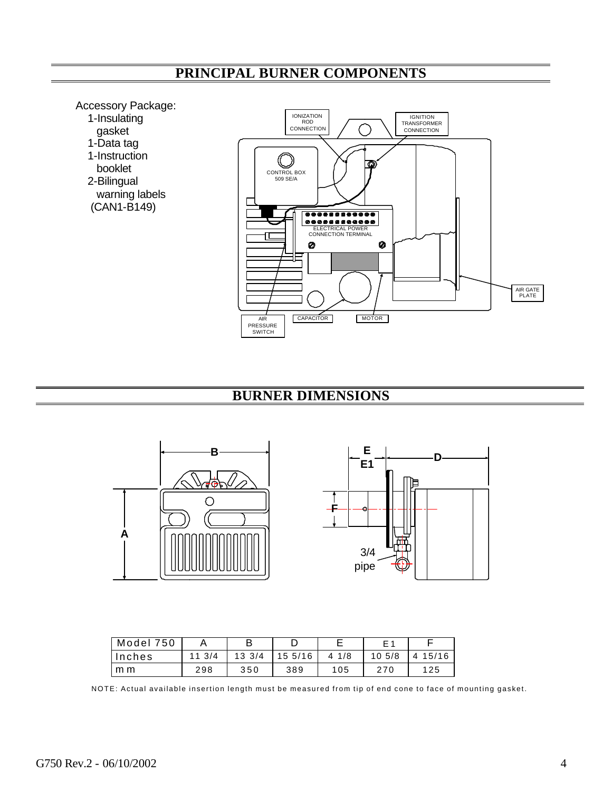# **PRINCIPAL BURNER COMPONENTS**

Accessory Package:

- 1-Insulating
- gasket
- 1-Data tag
	- 1-Instruction
	- booklet
	- 2-Bilingual
	- warning labels (CAN1-B149)



## **BURNER DIMENSIONS**





| Model 750 |       | в                |        |                 | F 1    |            |
|-----------|-------|------------------|--------|-----------------|--------|------------|
| Inches    | 113/4 | $13 \frac{3}{4}$ | 155/16 | $4 \frac{1}{8}$ | 10,5/8 | 15/16<br>4 |
| m m       | 298   | 350              | 389    | 105             | 270    | 125        |

NOTE: Actual available insertion length must be measured from tip of end cone to face of mounting gasket.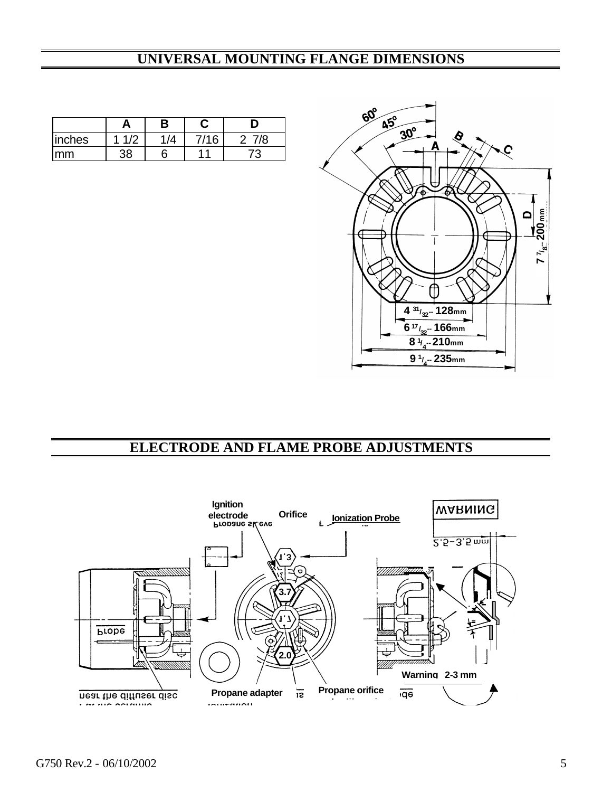## **UNIVERSAL MOUNTING FLANGE DIMENSIONS**

|        | A        | B |      | D   |
|--------|----------|---|------|-----|
| inches | 1/2      |   | 7/16 | 7/8 |
| mm     | $\Omega$ |   | 44   | 73  |



## **ELECTRODE AND FLAME PROBE ADJUSTMENTS**

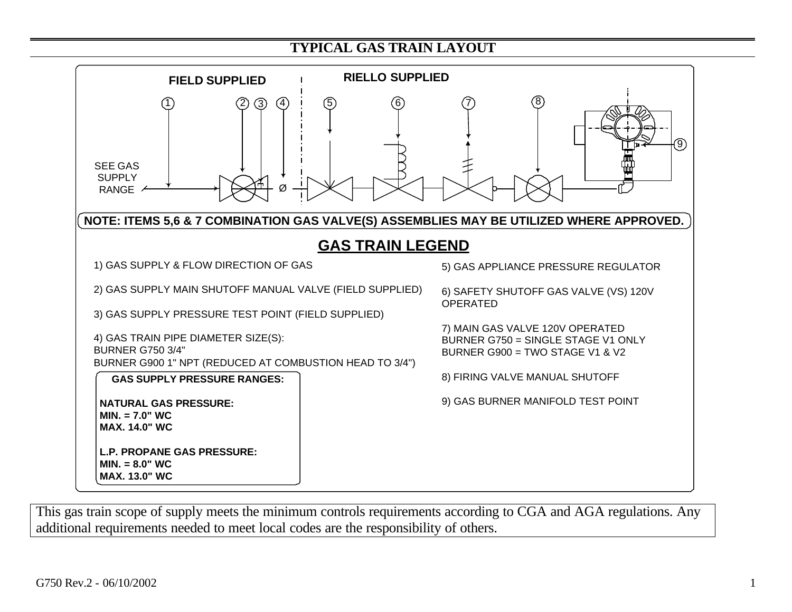## **TYPICAL GAS TRAIN LAYOUT**



This gas train scope of supply meets the minimum controls requirements according to CGA and AGA regulations. Any additional requirements needed to meet local codes are the responsibility of others.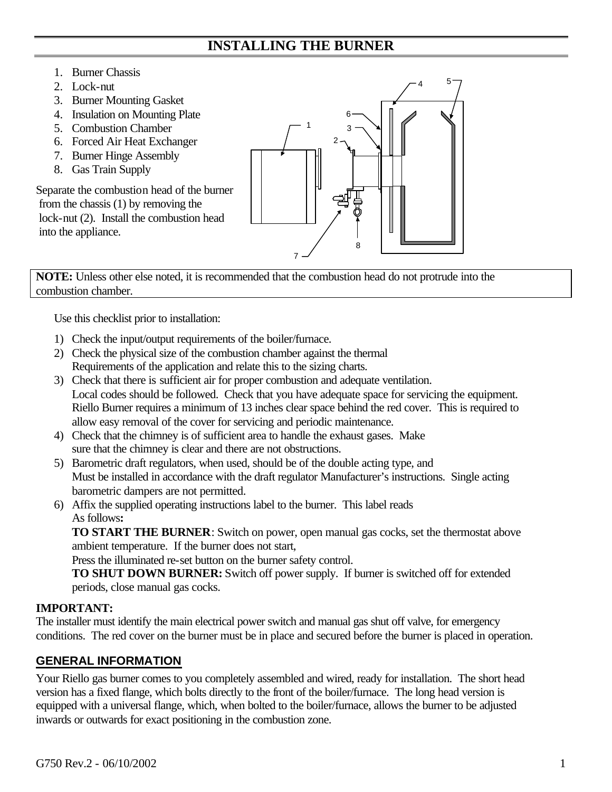## **INSTALLING THE BURNER**

### 1. Burner Chassis

- 2. Lock-nut
- 3. Burner Mounting Gasket
- 4. Insulation on Mounting Plate
- 5. Combustion Chamber
- 6. Forced Air Heat Exchanger
- 7. Burner Hinge Assembly
- 8. Gas Train Supply

Separate the combustion head of the burner from the chassis (1) by removing the lock-nut (2). Install the combustion head into the appliance.



**NOTE:** Unless other else noted, it is recommended that the combustion head do not protrude into the combustion chamber.

Use this checklist prior to installation:

- 1) Check the input/output requirements of the boiler/furnace.
- 2) Check the physical size of the combustion chamber against the thermal Requirements of the application and relate this to the sizing charts.
- 3) Check that there is sufficient air for proper combustion and adequate ventilation. Local codes should be followed. Check that you have adequate space for servicing the equipment. Riello Burner requires a minimum of 13 inches clear space behind the red cover. This is required to allow easy removal of the cover for servicing and periodic maintenance.
- 4) Check that the chimney is of sufficient area to handle the exhaust gases. Make sure that the chimney is clear and there are not obstructions.
- 5) Barometric draft regulators, when used, should be of the double acting type, and Must be installed in accordance with the draft regulator Manufacturer's instructions. Single acting barometric dampers are not permitted.
- 6) Affix the supplied operating instructions label to the burner. This label reads As follows**:**

**TO START THE BURNER**: Switch on power, open manual gas cocks, set the thermostat above ambient temperature. If the burner does not start,

Press the illuminated re-set button on the burner safety control.

**TO SHUT DOWN BURNER:** Switch off power supply. If burner is switched off for extended periods, close manual gas cocks.

### **IMPORTANT:**

The installer must identify the main electrical power switch and manual gas shut off valve, for emergency conditions. The red cover on the burner must be in place and secured before the burner is placed in operation.

### **GENERAL INFORMATION**

Your Riello gas burner comes to you completely assembled and wired, ready for installation. The short head version has a fixed flange, which bolts directly to the front of the boiler/furnace. The long head version is equipped with a universal flange, which, when bolted to the boiler/furnace, allows the burner to be adjusted inwards or outwards for exact positioning in the combustion zone.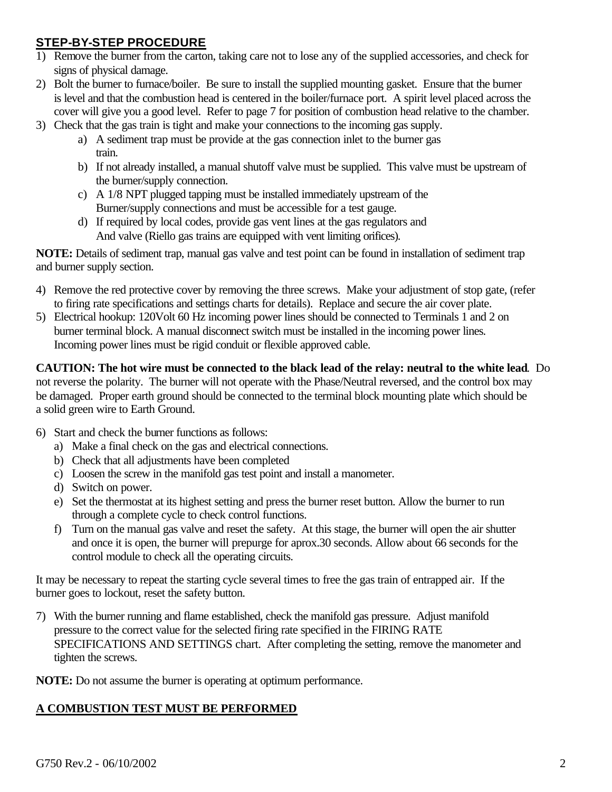### **STEP-BY-STEP PROCEDURE**

- 1) Remove the burner from the carton, taking care not to lose any of the supplied accessories, and check for signs of physical damage.
- 2) Bolt the burner to furnace/boiler. Be sure to install the supplied mounting gasket. Ensure that the burner is level and that the combustion head is centered in the boiler/furnace port. A spirit level placed across the cover will give you a good level. Refer to page 7 for position of combustion head relative to the chamber.
- 3) Check that the gas train is tight and make your connections to the incoming gas supply.
	- a) A sediment trap must be provide at the gas connection inlet to the burner gas train.
	- b) If not already installed, a manual shutoff valve must be supplied. This valve must be upstream of the burner/supply connection.
	- c) A 1/8 NPT plugged tapping must be installed immediately upstream of the Burner/supply connections and must be accessible for a test gauge.
	- d) If required by local codes, provide gas vent lines at the gas regulators and And valve (Riello gas trains are equipped with vent limiting orifices).

**NOTE:** Details of sediment trap, manual gas valve and test point can be found in installation of sediment trap and burner supply section.

- 4) Remove the red protective cover by removing the three screws. Make your adjustment of stop gate, (refer to firing rate specifications and settings charts for details). Replace and secure the air cover plate.
- 5) Electrical hookup: 120Volt 60 Hz incoming power lines should be connected to Terminals 1 and 2 on burner terminal block. A manual disconnect switch must be installed in the incoming power lines. Incoming power lines must be rigid conduit or flexible approved cable.

**CAUTION: The hot wire must be connected to the black lead of the relay: neutral to the white lead**. Do not reverse the polarity. The burner will not operate with the Phase/Neutral reversed, and the control box may be damaged. Proper earth ground should be connected to the terminal block mounting plate which should be a solid green wire to Earth Ground.

- 6) Start and check the burner functions as follows:
	- a) Make a final check on the gas and electrical connections.
	- b) Check that all adjustments have been completed
	- c) Loosen the screw in the manifold gas test point and install a manometer.
	- d) Switch on power.
	- e) Set the thermostat at its highest setting and press the burner reset button. Allow the burner to run through a complete cycle to check control functions.
	- f) Turn on the manual gas valve and reset the safety. At this stage, the burner will open the air shutter and once it is open, the burner will prepurge for aprox.30 seconds. Allow about 66 seconds for the control module to check all the operating circuits.

It may be necessary to repeat the starting cycle several times to free the gas train of entrapped air. If the burner goes to lockout, reset the safety button.

7) With the burner running and flame established, check the manifold gas pressure. Adjust manifold pressure to the correct value for the selected firing rate specified in the FIRING RATE SPECIFICATIONS AND SETTINGS chart. After completing the setting, remove the manometer and tighten the screws.

**NOTE:** Do not assume the burner is operating at optimum performance.

### **A COMBUSTION TEST MUST BE PERFORMED**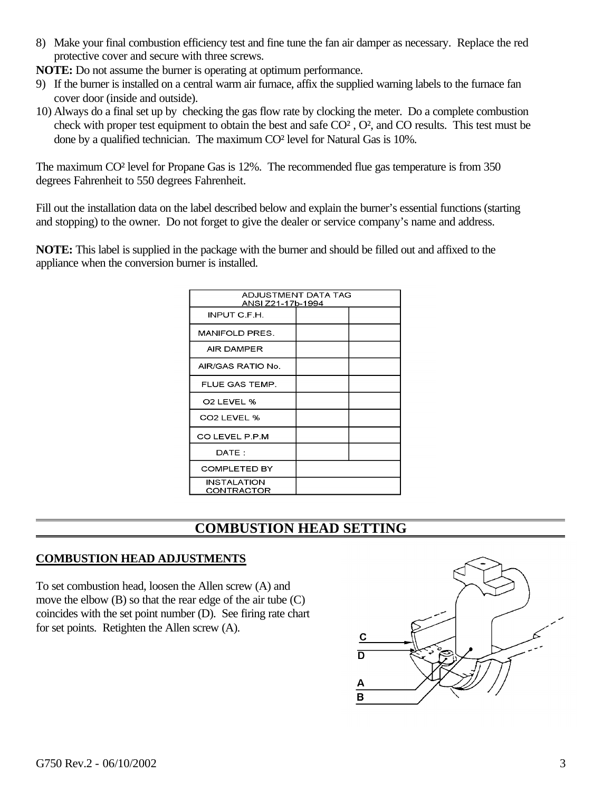8) Make your final combustion efficiency test and fine tune the fan air damper as necessary. Replace the red protective cover and secure with three screws.

**NOTE:** Do not assume the burner is operating at optimum performance.

- 9) If the burner is installed on a central warm air furnace, affix the supplied warning labels to the furnace fan cover door (inside and outside).
- 10) Always do a final set up by checking the gas flow rate by clocking the meter. Do a complete combustion check with proper test equipment to obtain the best and safe CO² , O², and CO results. This test must be done by a qualified technician. The maximum CO² level for Natural Gas is 10%.

The maximum CO² level for Propane Gas is 12%. The recommended flue gas temperature is from 350 degrees Fahrenheit to 550 degrees Fahrenheit.

Fill out the installation data on the label described below and explain the burner's essential functions (starting and stopping) to the owner. Do not forget to give the dealer or service company's name and address.

**NOTE:** This label is supplied in the package with the burner and should be filled out and affixed to the appliance when the conversion burner is installed.

| ADJUSTMENT DATA TAG<br>ANSI Z21-17b-1994 |  |  |  |  |
|------------------------------------------|--|--|--|--|
| INPUT C.F.H.                             |  |  |  |  |
| MANIFOLD PRES.                           |  |  |  |  |
| AIR DAMPER                               |  |  |  |  |
| AIR/GAS RATIO No.                        |  |  |  |  |
| FLUE GAS TEMP.                           |  |  |  |  |
| O <sub>2</sub> LEVEL %                   |  |  |  |  |
| CO <sub>2</sub> LEVEL %                  |  |  |  |  |
| CO LEVEL P.P.M                           |  |  |  |  |
| DATE:                                    |  |  |  |  |
| <b>COMPLETED BY</b>                      |  |  |  |  |
| INSTALATION<br>CONTRACTOR                |  |  |  |  |

## **COMBUSTION HEAD SETTING**

### **COMBUSTION HEAD ADJUSTMENTS**

To set combustion head, loosen the Allen screw (A) and move the elbow (B) so that the rear edge of the air tube (C) coincides with the set point number (D). See firing rate chart for set points. Retighten the Allen screw (A).

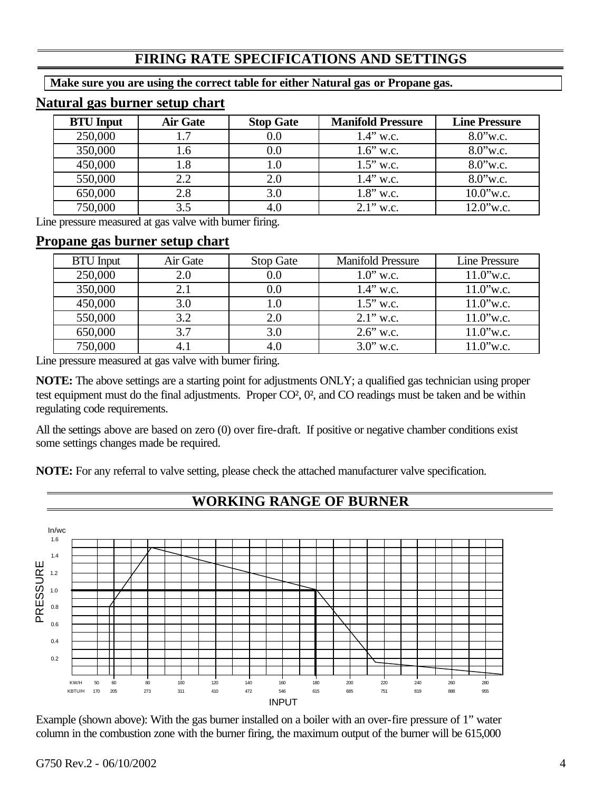## **FIRING RATE SPECIFICATIONS AND SETTINGS**

**Make sure you are using the correct table for either Natural gas or Propane gas.**

## **Natural gas burner setup chart**

| <b>BTU</b> Input | <b>Air Gate</b> | <b>Stop Gate</b> | <b>Manifold Pressure</b> | <b>Line Pressure</b> |
|------------------|-----------------|------------------|--------------------------|----------------------|
| 250,000          | 1.7             | 0.0              | $1.4$ " w.c.             | $8.0$ "w.c.          |
| 350,000          | 1.6             | 0.0              | $1.6$ " w.c.             | $8.0$ "w.c.          |
| 450,000          | 1.8             | 1.0              | $1.5$ " w.c.             | $8.0$ "w.c.          |
| 550,000          | 2.2             | 2.0              | $1.4$ " w.c.             | $8.0$ "w.c.          |
| 650,000          | 2.8             | 3.0              | $1.8$ " w.c.             | $10.0$ "w.c.         |
| 750,000          | 3.5             | 4.0              | $2.1$ " w.c.             | 12.0"w.c.            |

Line pressure measured at gas valve with burner firing.

### **Propane gas burner setup chart**

| <b>BTU</b> Input | Air Gate | <b>Stop Gate</b> | <b>Manifold Pressure</b> | Line Pressure |
|------------------|----------|------------------|--------------------------|---------------|
| 250,000          | 2.0      | 0.0              | $1.0$ " w.c.             | $11.0$ "w.c.  |
| 350,000          | 2.1      | $0.0\,$          | $1.4$ " w.c.             | $11.0$ "w.c.  |
| 450,000          | 3.0      | $1.0\,$          | $1.5$ " w.c.             | $11.0$ "w.c.  |
| 550,000          | 3.2      | 2.0              | $2.1$ " w.c.             | $11.0$ "w.c.  |
| 650,000          | 3.7      | 3.0              | $2.6$ " w.c.             | $11.0$ "w.c.  |
| 750,000          | 4.1      | 4.0              | $3.0$ " w.c.             | $11.0$ "w.c.  |

Line pressure measured at gas valve with burner firing.

**NOTE:** The above settings are a starting point for adjustments ONLY; a qualified gas technician using proper test equipment must do the final adjustments. Proper CO², 0², and CO readings must be taken and be within regulating code requirements.

All the settings above are based on zero (0) over fire-draft. If positive or negative chamber conditions exist some settings changes made be required.

**NOTE:** For any referral to valve setting, please check the attached manufacturer valve specification.



Example (shown above): With the gas burner installed on a boiler with an over-fire pressure of 1" water column in the combustion zone with the burner firing, the maximum output of the burner will be 615,000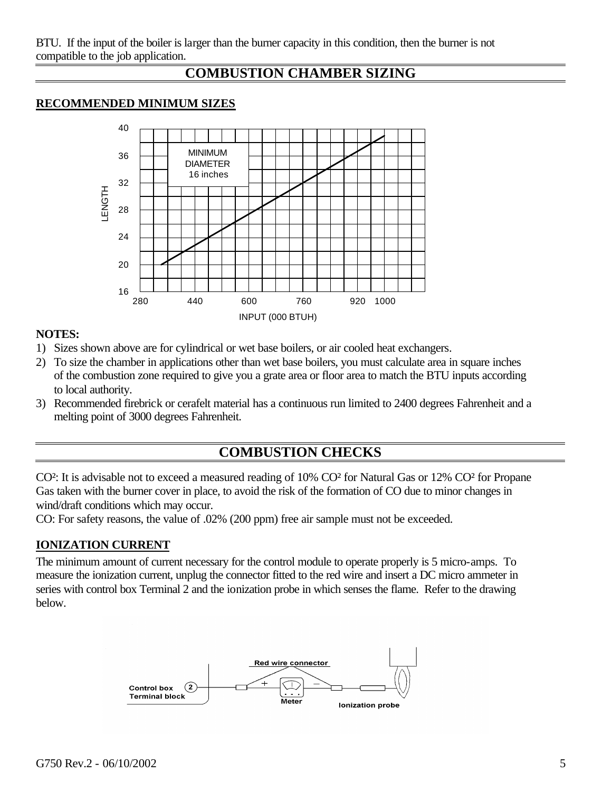## **COMBUSTION CHAMBER SIZING**

### **RECOMMENDED MINIMUM SIZES**



### **NOTES:**

- 1) Sizes shown above are for cylindrical or wet base boilers, or air cooled heat exchangers.
- 2) To size the chamber in applications other than wet base boilers, you must calculate area in square inches of the combustion zone required to give you a grate area or floor area to match the BTU inputs according to local authority.
- 3) Recommended firebrick or cerafelt material has a continuous run limited to 2400 degrees Fahrenheit and a melting point of 3000 degrees Fahrenheit.

## **COMBUSTION CHECKS**

CO²: It is advisable not to exceed a measured reading of 10% CO² for Natural Gas or 12% CO² for Propane Gas taken with the burner cover in place, to avoid the risk of the formation of CO due to minor changes in wind/draft conditions which may occur.

CO: For safety reasons, the value of .02% (200 ppm) free air sample must not be exceeded.

### **IONIZATION CURRENT**

The minimum amount of current necessary for the control module to operate properly is 5 micro-amps. To measure the ionization current, unplug the connector fitted to the red wire and insert a DC micro ammeter in series with control box Terminal 2 and the ionization probe in which senses the flame. Refer to the drawing below.

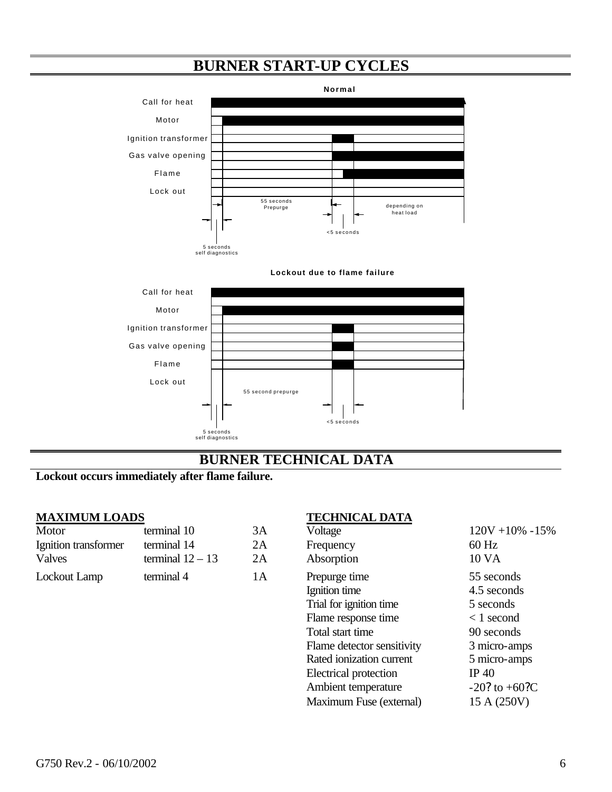# **BURNER START-UP CYCLES**





## **BURNER TECHNICAL DATA**

## **Lockout occurs immediately after flame failure.**

| Motor                | terminal 10        | 3Α | Voltage       | $120V + 109$ |
|----------------------|--------------------|----|---------------|--------------|
| Ignition transformer | terminal 14        | 2Α | Frequency     | $60$ Hz      |
| <b>Valves</b>        | terminal $12 - 13$ | 2A | Absorption    | 10 VA        |
| <b>Lockout Lamp</b>  | terminal 4         | 1А | Prepurge time | 55 seconds   |

### **MAXIMUM LOADS TECHNICAL DATA**

| Motor                | terminal 10        | 3A | Voltage                    | $120V + 10\% - 15\%$ |
|----------------------|--------------------|----|----------------------------|----------------------|
| Ignition transformer | terminal 14        | 2A | Frequency                  | $60$ Hz              |
| <b>Valves</b>        | terminal $12 - 13$ | 2A | Absorption                 | 10 VA                |
| Lockout Lamp         | terminal 4         | 1A | Prepurge time              | 55 seconds           |
|                      |                    |    | Ignition time              | 4.5 seconds          |
|                      |                    |    | Trial for ignition time    | 5 seconds            |
|                      |                    |    | Flame response time        | $\langle 1$ second   |
|                      |                    |    | Total start time           | 90 seconds           |
|                      |                    |    | Flame detector sensitivity | 3 micro-amps         |
|                      |                    |    | Rated ionization current   | 5 micro-amps         |
|                      |                    |    | Electrical protection      | IP 40                |
|                      |                    |    | Ambient temperature        | $-20$ ? to $+60$ ?C  |
|                      |                    |    | Maximum Fuse (external)    | 15 A (250V)          |
|                      |                    |    |                            |                      |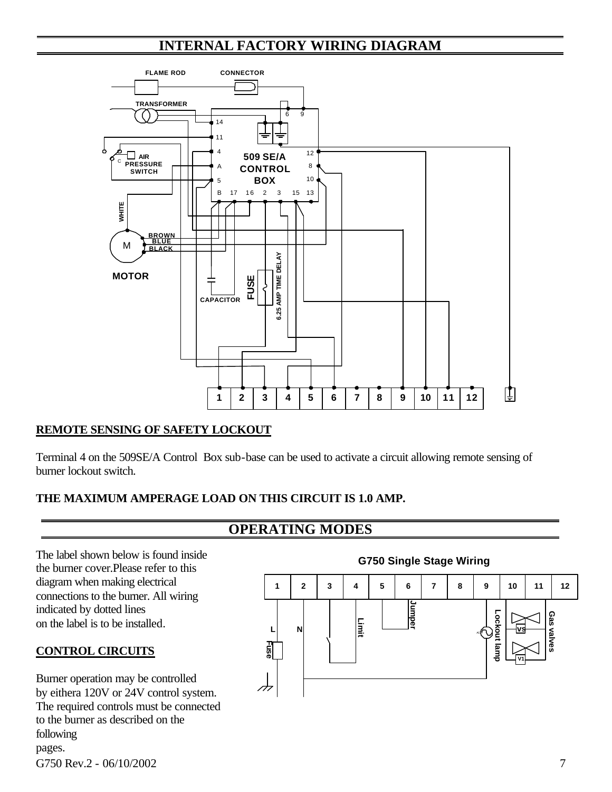# **INTERNAL FACTORY WIRING DIAGRAM**



### **REMOTE SENSING OF SAFETY LOCKOUT**

Terminal 4 on the 509SE/A Control Box sub-base can be used to activate a circuit allowing remote sensing of burner lockout switch.

### **THE MAXIMUM AMPERAGE LOAD ON THIS CIRCUIT IS 1.0 AMP.**

## **OPERATING MODES**

The label shown below is found inside the burner cover.Please refer to this diagram when making electrical connections to the burner. All wiring indicated by dotted lines on the label is to be installed.

### **CONTROL CIRCUITS**

G750 Rev.2 - 06/10/2002 7 Burner operation may be controlled by eithera 120V or 24V control system. The required controls must be connected to the burner as described on the following pages.



### **G750 Single Stage Wiring**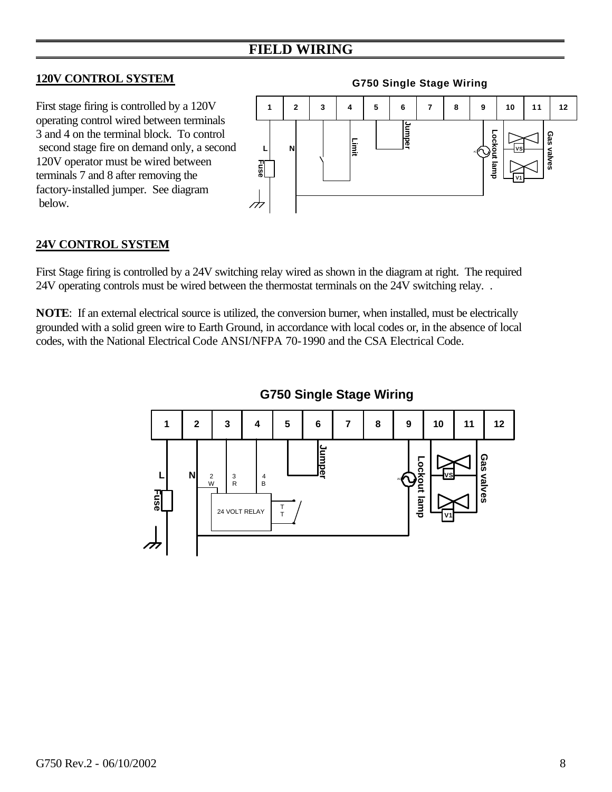## **FIELD WIRING**

### **120V CONTROL SYSTEM**

First stage firing is controlled by a 120V operating control wired between terminals 3 and 4 on the terminal block. To control second stage fire on demand only, a second 120V operator must be wired between terminals 7 and 8 after removing the factory-installed jumper. See diagram below.



### **24V CONTROL SYSTEM**

First Stage firing is controlled by a 24V switching relay wired as shown in the diagram at right. The required 24V operating controls must be wired between the thermostat terminals on the 24V switching relay. .

**NOTE**: If an external electrical source is utilized, the conversion burner, when installed, must be electrically grounded with a solid green wire to Earth Ground, in accordance with local codes or, in the absence of local codes, with the National Electrical Code ANSI/NFPA 70-1990 and the CSA Electrical Code.



**G750 Single Stage Wiring**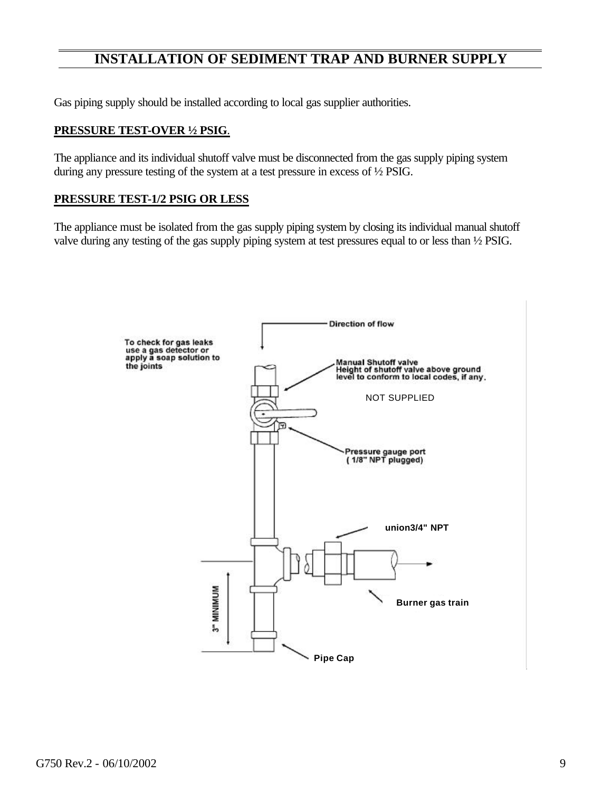## **INSTALLATION OF SEDIMENT TRAP AND BURNER SUPPLY**

Gas piping supply should be installed according to local gas supplier authorities.

### **PRESSURE TEST-OVER ½ PSIG**.

The appliance and its individual shutoff valve must be disconnected from the gas supply piping system during any pressure testing of the system at a test pressure in excess of ½ PSIG.

### **PRESSURE TEST-1/2 PSIG OR LESS**

The appliance must be isolated from the gas supply piping system by closing its individual manual shutoff valve during any testing of the gas supply piping system at test pressures equal to or less than ½ PSIG.

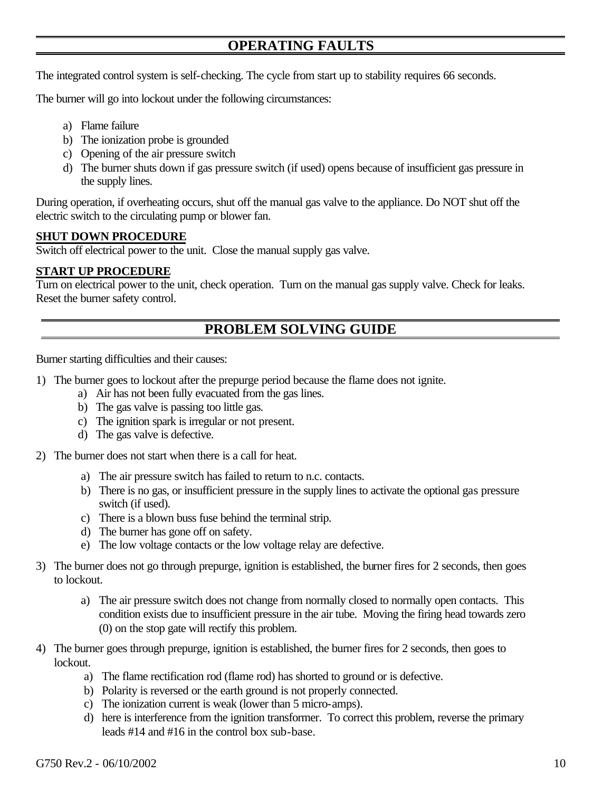## **OPERATING FAULTS**

The integrated control system is self-checking. The cycle from start up to stability requires 66 seconds.

The burner will go into lockout under the following circumstances:

- a) Flame failure
- b) The ionization probe is grounded
- c) Opening of the air pressure switch
- d) The burner shuts down if gas pressure switch (if used) opens because of insufficient gas pressure in the supply lines.

During operation, if overheating occurs, shut off the manual gas valve to the appliance. Do NOT shut off the electric switch to the circulating pump or blower fan.

### **SHUT DOWN PROCEDURE**

Switch off electrical power to the unit. Close the manual supply gas valve.

### **START UP PROCEDURE**

Turn on electrical power to the unit, check operation. Turn on the manual gas supply valve. Check for leaks. Reset the burner safety control.

## **PROBLEM SOLVING GUIDE**

Burner starting difficulties and their causes:

- 1) The burner goes to lockout after the prepurge period because the flame does not ignite.
	- a) Air has not been fully evacuated from the gas lines.
	- b) The gas valve is passing too little gas.
	- c) The ignition spark is irregular or not present.
	- d) The gas valve is defective.
- 2) The burner does not start when there is a call for heat.
	- a) The air pressure switch has failed to return to n.c. contacts.
	- b) There is no gas, or insufficient pressure in the supply lines to activate the optional gas pressure switch (if used).
	- c) There is a blown buss fuse behind the terminal strip.
	- d) The burner has gone off on safety.
	- e) The low voltage contacts or the low voltage relay are defective.
- 3) The burner does not go through prepurge, ignition is established, the burner fires for 2 seconds, then goes to lockout.
	- a) The air pressure switch does not change from normally closed to normally open contacts. This condition exists due to insufficient pressure in the air tube. Moving the firing head towards zero (0) on the stop gate will rectify this problem.
- 4) The burner goes through prepurge, ignition is established, the burner fires for 2 seconds, then goes to lockout.
	- a) The flame rectification rod (flame rod) has shorted to ground or is defective.
	- b) Polarity is reversed or the earth ground is not properly connected.
	- c) The ionization current is weak (lower than 5 micro-amps).
	- d) here is interference from the ignition transformer. To correct this problem, reverse the primary leads #14 and #16 in the control box sub-base.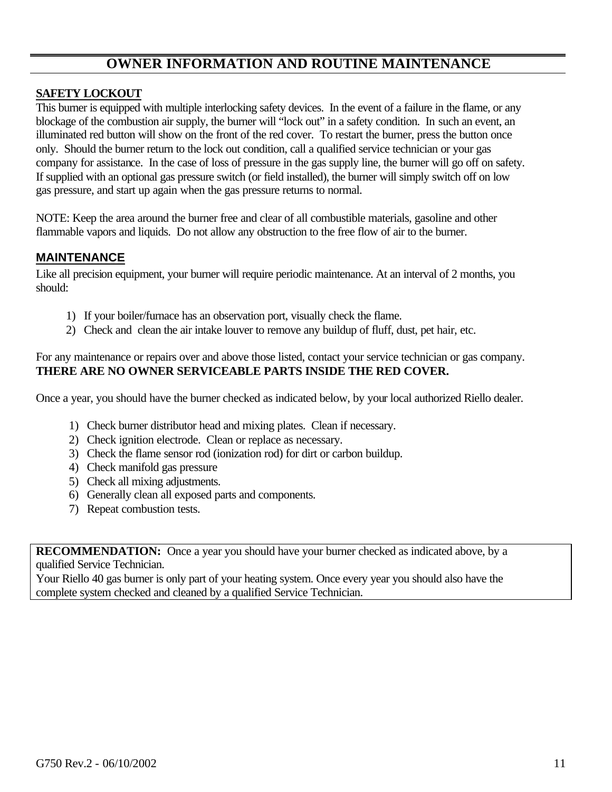## **OWNER INFORMATION AND ROUTINE MAINTENANCE**

### **SAFETY LOCKOUT**

This burner is equipped with multiple interlocking safety devices. In the event of a failure in the flame, or any blockage of the combustion air supply, the burner will "lock out" in a safety condition. In such an event, an illuminated red button will show on the front of the red cover. To restart the burner, press the button once only. Should the burner return to the lock out condition, call a qualified service technician or your gas company for assistance. In the case of loss of pressure in the gas supply line, the burner will go off on safety. If supplied with an optional gas pressure switch (or field installed), the burner will simply switch off on low gas pressure, and start up again when the gas pressure returns to normal.

NOTE: Keep the area around the burner free and clear of all combustible materials, gasoline and other flammable vapors and liquids. Do not allow any obstruction to the free flow of air to the burner.

### **MAINTENANCE**

Like all precision equipment, your burner will require periodic maintenance. At an interval of 2 months, you should:

- 1) If your boiler/furnace has an observation port, visually check the flame.
- 2) Check and clean the air intake louver to remove any buildup of fluff, dust, pet hair, etc.

### For any maintenance or repairs over and above those listed, contact your service technician or gas company. **THERE ARE NO OWNER SERVICEABLE PARTS INSIDE THE RED COVER.**

Once a year, you should have the burner checked as indicated below, by your local authorized Riello dealer.

- 1) Check burner distributor head and mixing plates. Clean if necessary.
- 2) Check ignition electrode. Clean or replace as necessary.
- 3) Check the flame sensor rod (ionization rod) for dirt or carbon buildup.
- 4) Check manifold gas pressure
- 5) Check all mixing adjustments.
- 6) Generally clean all exposed parts and components.
- 7) Repeat combustion tests.

**RECOMMENDATION:** Once a year you should have your burner checked as indicated above, by a qualified Service Technician.

Your Riello 40 gas burner is only part of your heating system. Once every year you should also have the complete system checked and cleaned by a qualified Service Technician.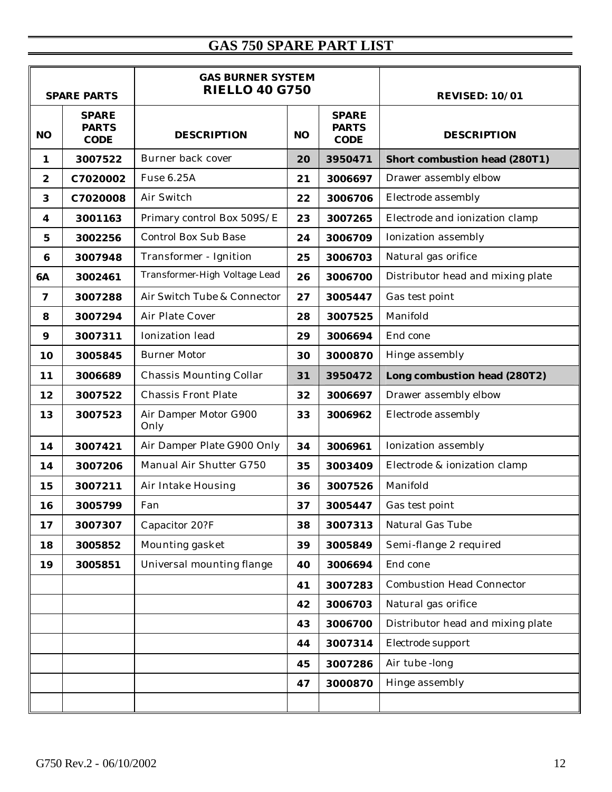# **GAS 750 SPARE PART LIST**

|                  | <b>GAS BURNER SYSTEM</b><br><b>RIELLO 40 G750</b><br><b>SPARE PARTS</b> |                               | <b>REVISED: 10/01</b> |                                             |                                      |
|------------------|-------------------------------------------------------------------------|-------------------------------|-----------------------|---------------------------------------------|--------------------------------------|
| N <sub>O</sub>   | <b>SPARE</b><br><b>PARTS</b><br><b>CODE</b>                             | <b>DESCRIPTION</b>            | N <sub>O</sub>        | <b>SPARE</b><br><b>PARTS</b><br><b>CODE</b> | <b>DESCRIPTION</b>                   |
| 1                | 3007522                                                                 | Burner back cover             | 20                    | 3950471                                     | <b>Short combustion head (280T1)</b> |
| $\boldsymbol{2}$ | C7020002                                                                | Fuse 6.25A                    | 21                    | 3006697                                     | Drawer assembly elbow                |
| $\bf{3}$         | C7020008                                                                | Air Switch                    | 22                    | 3006706                                     | Electrode assembly                   |
| 4                | 3001163                                                                 | Primary control Box 509S/E    | 23                    | 3007265                                     | Electrode and ionization clamp       |
| 5                | 3002256                                                                 | <b>Control Box Sub Base</b>   | 24                    | 3006709                                     | Ionization assembly                  |
| 6                | 3007948                                                                 | Transformer - Ignition        | 25                    | 3006703                                     | Natural gas orifice                  |
| 6A               | 3002461                                                                 | Transformer-High Voltage Lead | 26                    | 3006700                                     | Distributor head and mixing plate    |
| 7                | 3007288                                                                 | Air Switch Tube & Connector   | 27                    | 3005447                                     | Gas test point                       |
| 8                | 3007294                                                                 | Air Plate Cover               | 28                    | 3007525                                     | Manifold                             |
| $\boldsymbol{9}$ | 3007311                                                                 | Ionization lead               | 29                    | 3006694                                     | End cone                             |
| 10               | 3005845                                                                 | <b>Burner Motor</b>           | 30                    | 3000870                                     | Hinge assembly                       |
| 11               | 3006689                                                                 | Chassis Mounting Collar       | 31                    | 3950472                                     | Long combustion head (280T2)         |
| 12               | 3007522                                                                 | <b>Chassis Front Plate</b>    | 32                    | 3006697                                     | Drawer assembly elbow                |
| 13               | 3007523                                                                 | Air Damper Motor G900<br>Only | 33                    | 3006962                                     | Electrode assembly                   |
| 14               | 3007421                                                                 | Air Damper Plate G900 Only    | 34                    | 3006961                                     | Ionization assembly                  |
| 14               | 3007206                                                                 | Manual Air Shutter G750       | 35                    | 3003409                                     | Electrode & ionization clamp         |
| 15               | 3007211                                                                 | Air Intake Housing            | 36                    | 3007526                                     | Manifold                             |
| 16               | 3005799                                                                 | Fan                           | 37                    | 3005447                                     | Gas test point                       |
| 17               | 3007307                                                                 | Capacitor 20?F                | 38                    | 3007313                                     | Natural Gas Tube                     |
| 18               | 3005852                                                                 | Mounting gasket               | 39                    | 3005849                                     | Semi-flange 2 required               |
| 19               | 3005851                                                                 | Universal mounting flange     | 40                    | 3006694                                     | End cone                             |
|                  |                                                                         |                               | 41                    | 3007283                                     | <b>Combustion Head Connector</b>     |
|                  |                                                                         |                               | 42                    | 3006703                                     | Natural gas orifice                  |
|                  |                                                                         |                               | 43                    | 3006700                                     | Distributor head and mixing plate    |
|                  |                                                                         |                               | 44                    | 3007314                                     | Electrode support                    |
|                  |                                                                         |                               | 45                    | 3007286                                     | Air tube -long                       |
|                  |                                                                         |                               | 47                    | 3000870                                     | Hinge assembly                       |
|                  |                                                                         |                               |                       |                                             |                                      |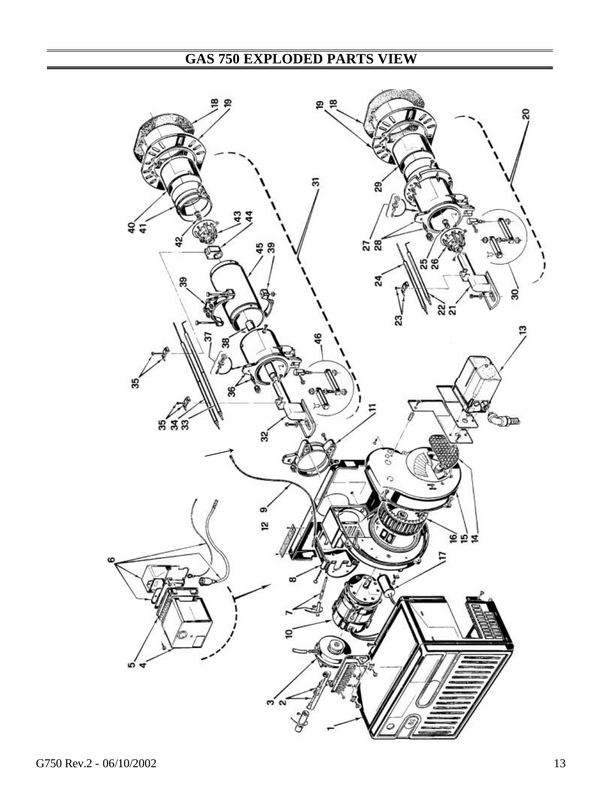# **GAS 750 EXPLODED PARTS VIEW**

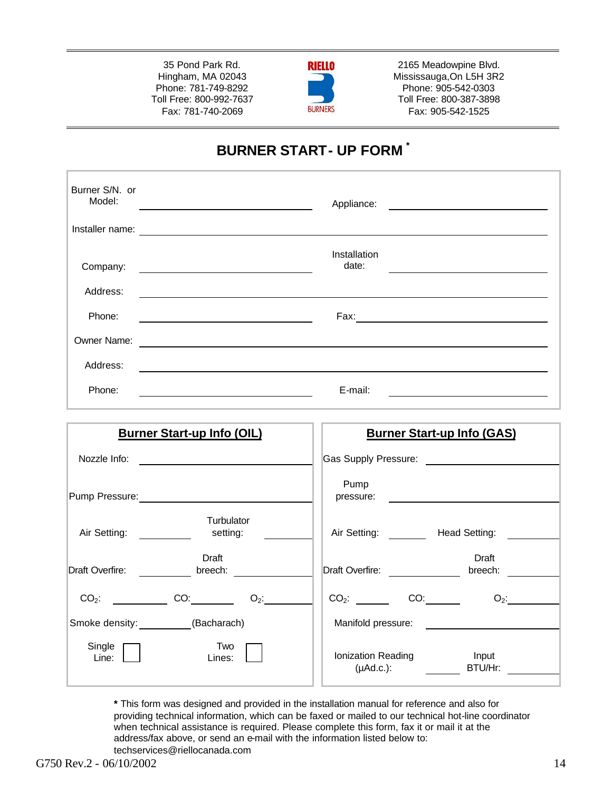35 Pond Park Rd. Hingham, MA 02043 Phone: 781-749-8292 Toll Free: 800-992-7637 Fax: 781-740-2069



2165 Meadowpine Blvd. Mississauga,On L5H 3R2 Phone: 905-542-0303 Toll Free: 800-387-3898 Fax: 905-542-1525

# **BURNER START- UP FORM \***

| Burner S/N. or<br>Model: | Appliance:<br><u> 1989 - Andrea Station, amerikansk politik (</u> |
|--------------------------|-------------------------------------------------------------------|
| Installer name:          | <u> 1980 - Antonio Alemania, presidente de la conte</u>           |
| Company:                 | Installation<br>date:                                             |
| Address:                 |                                                                   |
| Phone:                   | Fax:                                                              |
| Owner Name:              |                                                                   |
| Address:                 |                                                                   |
| Phone:                   | E-mail:                                                           |

| <b>Burner Start-up Info (GAS)</b>                                |
|------------------------------------------------------------------|
| Gas Supply Pressure:                                             |
| Pump<br>pressure:                                                |
| Air Setting:<br>Head Setting:                                    |
| Draft<br>Draft Overfire:<br>breech:                              |
| CO <sub>2</sub> :<br>$O_2$ :                                     |
| Manifold pressure:                                               |
| Ionization Reading<br>Input<br>$(\mu \text{Ad.c.})$ :<br>BTU/Hr: |
|                                                                  |

**\*** This form was designed and provided in the installation manual for reference and also for providing technical information, which can be faxed or mailed to our technical hot-line coordinator when technical assistance is required. Please complete this form, fax it or mail it at the address/fax above, or send an e-mail with the information listed below to: techservices@riellocanada.com